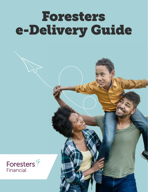# Foresters e-Delivery Guide

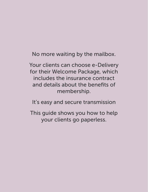No more waiting by the mailbox.

Your clients can choose e-Delivery for their Welcome Package, which includes the insurance contract and details about the benefits of membership.

It's easy and secure transmission

This guide shows you how to help your clients go paperless.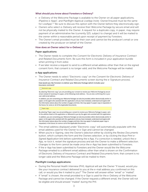## What should you know about Foresters e-Delivery?

- e-Delivery of the Welcome Package is available to the Owner on all paper applications, iPipeline e-Apps<sup>1</sup>, and PlanRight Apptical LiveApp (note: Owner/Insured must be the same for LiveApp). $2.3$  Be sure to discuss this option with the Owner before they electronically sign.
- Owners who select e-Delivery will receive their Welcome Package by secure email and will not be physically mailed to the Owner. A request for a duplicate copy, in paper, may require payment of an administrative fee (currently \$25, subject to change) and it will be mailed to the owner within a reasonable period upon receipt of payment by Foresters.
- The Owner's email provided must be their own and cannot be the producer's email or one created by the producer on behalf of the Owner.

#### How does an Owner select for e-Delivery?

#### Paper applications:

- The Owner needs to complete the *Consent for Electronic Delivery of Insurance Contract and Related Documents* form. Be sure this form is included in your application bundle when printing it from ezbiz.
- If we later receive a request to send to a different email address other than that on the signed consent form, that consent is no longer valid, and the Welcome Package will be mailed.

#### e-App applications:

• The Owner needs to select "Electronic copy" on the *Consent for Electronic Delivery of Insurance Contract and Related Documents* screen during the e-Signature process. How would you like Foresters to deliver your Welcome Package (which includes your

insurance contract)?

Electronic copy

By selecting "Electronic copy," you are providing your consent to receive your Welcome Package by secure email, instead of receiving it in paper, at the following email address: . You are also confirming this is your own valid email address.

In addition, you are consenting your Welcome Package can also be provided, either electronically and/or in paper, to the agent who assisted with this application and you have reviewed, understand and agree with the information above about the number of pages and that a fee may apply if a paper copy is requested, in the future, for some or all of the Applicable Documents.

#### Paper copy

By selecting "Paper copy," you are providing your consent to receive your Welcome Package in paper, sent to the address listed on the application or delivered to you by the agent who assisted with this application. In addition, you are consenting your Welcome Package can also be provided, either electronically and/or in paper, to the agent who assisted with this application and you have reviewed, understand and agree with

the information above about the number of pages and that a fee may apply if a duplicate paper copy is requested, in the future, for some or all of the Applicable Documents.

- The email address displayed under "Electronic copy" will automatically populate with the email address used for the Owner to e-Sign and cannot be changed.
- When you're e-Signing, view the Owner's selection either by clicking the *Review Documents* button, which contains the form and the Owners selection, or by clicking the blue *Print e-Signed Application* link before submitting the e-App. If a correction is needed, unlock the e-App, re-lock it, restart the signature process and ask the Owner to make a different selection. Changes to the form cannot be made once the e-App has been submitted to Foresters.
- If the e-App has been submitted to Foresters and the Owner would like the Welcome Package emailed to a different email address other than what is shown on the Confirmation of Electronic Delivery of Insurance Contract and Related Documents form, that consent is no longer valid and the Welcome Package will be mailed to them.

## PlanRight LiveApp applications:

- During the Personal Health Interview (PHI), Apptical will ask the Owner "If issued, would you like your insurance contract delivered to you at the e-mail address you confirmed on this call, or would you like it mailed to you?" The Owner will answer either "email" or "mailed".
- If "email" is chosen, the email provided to e-Sign is used for the e-Delivery of the Welcome Package and cannot be changed. If the Owner requests a different email, the Owner will not be eligible and should answer "mailed" during the PHI.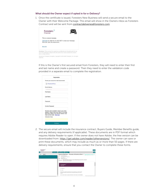#### What should the Owner expect if opted in for e-Delivery?

1. Once the certificate is issued, Foresters New Business will send a secure email to the Owner with their Welcome Package. This email will show in the Owners inbox as Foresters Contract and will be sent from [contractdeliveries@foresters.com](mailto:contractdeliveries%40foresters.com?subject=)



If this is the Owner's first secured email from Foresters, they will need to enter their first and last name and create a password. Then they need to enter the validation code provided in a separate email to complete the registration.

| <b>C</b> Password Policy<br>Email Address:<br>Technomat.com                                                                                                                         |
|-------------------------------------------------------------------------------------------------------------------------------------------------------------------------------------|
|                                                                                                                                                                                     |
| First Name:                                                                                                                                                                         |
|                                                                                                                                                                                     |
|                                                                                                                                                                                     |
| Last Name:                                                                                                                                                                          |
| Password:                                                                                                                                                                           |
| Confirm Password:                                                                                                                                                                   |
| We have sent a validation code to your email<br>address. Please check your inbox for the code<br>and enter it below. If you did not receive it and<br>need another code: Click here |
| Validation Code:                                                                                                                                                                    |

2. The secure email will include the insurance contract, Buyers Guide, Member Benefits guide, and any delivery requirements (if applicable). These documents are in PDF format which requires Adobe Reader to open. If the owner does not have Adobe, the free version can be downloaded from: [https://get.adobe.com/reader/otherversions/.](https://get.adobe.com/reader/otherversions/) The owner can save or print these documents, which may include as much as or more than 50 pages. If there are delivery requirements, ensure that you contact the Owner to complete these forms.